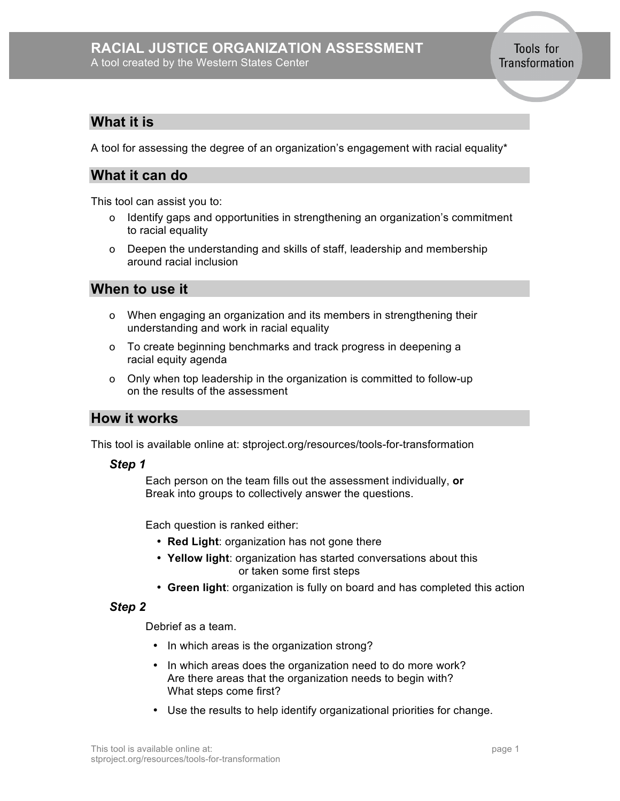### **RACIAL JUSTICE ORGANIZATION ASSESSMENT** A tool created by the Western States Center

Tools for Transformation

## **What it is**

A tool for assessing the degree of an organization's engagement with racial equality\*

# **What it can do**

This tool can assist you to:

- o Identify gaps and opportunities in strengthening an organization's commitment to racial equality
- o Deepen the understanding and skills of staff, leadership and membership around racial inclusion

**When to use it**

- o When engaging an organization and its members in strengthening their understanding and work in racial equality
- o To create beginning benchmarks and track progress in deepening a racial equity agenda
- o Only when top leadership in the organization is committed to follow-up on the results of the assessment

## **How it works**

This tool is available online at: stproject.org/resources/tools-for-transformation

#### *Step 1*

Each person on the team fills out the assessment individually, **or** Break into groups to collectively answer the questions.

Each question is ranked either:

- **Red Light**: organization has not gone there
- **Yellow light**: organization has started conversations about this or taken some first steps
- **Green light**: organization is fully on board and has completed this action

### *Step 2*

Debrief as a team.

- In which areas is the organization strong?
- In which areas does the organization need to do more work? Are there areas that the organization needs to begin with? What steps come first?
- Use the results to help identify organizational priorities for change.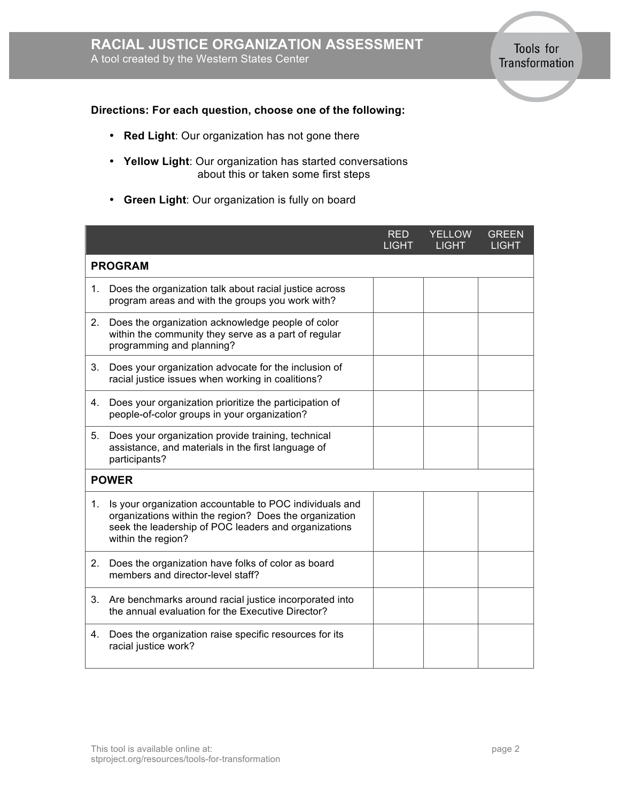Tools for Transformation

#### **Directions: For each question, choose one of the following:**

- **Red Light**: Our organization has not gone there
- **Yellow Light**: Our organization has started conversations about this or taken some first steps
- **Green Light**: Our organization is fully on board

|                |                                                                                                                                                                                                 | <b>RED</b><br><b>LIGHT</b> | <b>YELLOW</b><br><b>LIGHT</b> | <b>GREEN</b><br><b>LIGHT</b> |  |  |  |
|----------------|-------------------------------------------------------------------------------------------------------------------------------------------------------------------------------------------------|----------------------------|-------------------------------|------------------------------|--|--|--|
| <b>PROGRAM</b> |                                                                                                                                                                                                 |                            |                               |                              |  |  |  |
| 1.             | Does the organization talk about racial justice across<br>program areas and with the groups you work with?                                                                                      |                            |                               |                              |  |  |  |
| 2.             | Does the organization acknowledge people of color<br>within the community they serve as a part of regular<br>programming and planning?                                                          |                            |                               |                              |  |  |  |
| 3.             | Does your organization advocate for the inclusion of<br>racial justice issues when working in coalitions?                                                                                       |                            |                               |                              |  |  |  |
| 4.             | Does your organization prioritize the participation of<br>people-of-color groups in your organization?                                                                                          |                            |                               |                              |  |  |  |
| 5.             | Does your organization provide training, technical<br>assistance, and materials in the first language of<br>participants?                                                                       |                            |                               |                              |  |  |  |
| <b>POWER</b>   |                                                                                                                                                                                                 |                            |                               |                              |  |  |  |
| 1.             | Is your organization accountable to POC individuals and<br>organizations within the region? Does the organization<br>seek the leadership of POC leaders and organizations<br>within the region? |                            |                               |                              |  |  |  |
| 2.             | Does the organization have folks of color as board<br>members and director-level staff?                                                                                                         |                            |                               |                              |  |  |  |
| 3.             | Are benchmarks around racial justice incorporated into<br>the annual evaluation for the Executive Director?                                                                                     |                            |                               |                              |  |  |  |
| 4.             | Does the organization raise specific resources for its<br>racial justice work?                                                                                                                  |                            |                               |                              |  |  |  |